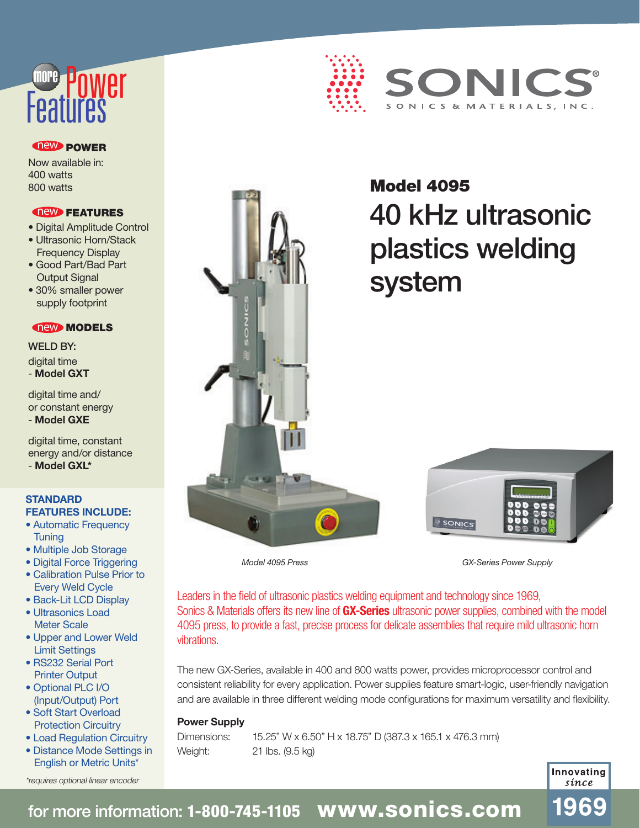# nwer more

#### **new POWER**

Now available in: 400 watts 800 watts

#### new FEATURES

- Digital Amplitude Control
- Ultrasonic Horn/Stack Frequency Display
- Good Part/Bad Part **Output Signal**
- 30% smaller power supply footprint

#### **new MODELS**

WELD BY: digital time - **Model GXT**

digital time and/ or constant energy - **Model GXE**

digital time, constant energy and/or distance

- **Model GXL\***

#### **STANDARD FEATURES INCLUDE:**

- Automatic Frequency **Tuning**
- Multiple Job Storage
- Digital Force Triggering • Calibration Pulse Prior to
- Every Weld Cycle
- Back-Lit LCD Display • Ultrasonics Load Meter Scale
- Upper and Lower Weld Limit Settings
- RS232 Serial Port Printer Output
- Optional PLC I/O (Input/Output) Port
- Soft Start Overload Protection Circuitry
- Load Regulation Circuitry • Distance Mode Settings in English or Metric Units\*

\*requires optional linear encoder





## Model 4095 40 kHz ultrasonic plastics welding system



*GX-Series Power Supply*

*Model 4095 Press*

Leaders in the field of ultrasonic plastics welding equipment and technology since 1969, Sonics & Materials offers its new line of **GX-Series** ultrasonic power supplies, combined with the model 4095 press, to provide a fast, precise process for delicate assemblies that require mild ultrasonic horn vibrations.

The new GX-Series, available in 400 and 800 watts power, provides microprocessor control and consistent reliability for every application. Power supplies feature smart-logic, user-friendly navigation and are available in three different welding mode configurations for maximum versatility and flexibility.

#### **Power Supply**

Dimensions: 15.25" W x 6.50" H x 18.75" D (387.3 x 165.1 x 476.3 mm) Weight: 21 lbs. (9.5 kg)

> Innovating sínce

1969

## for more information: 1-800-745-1105 **www.sonics.com**